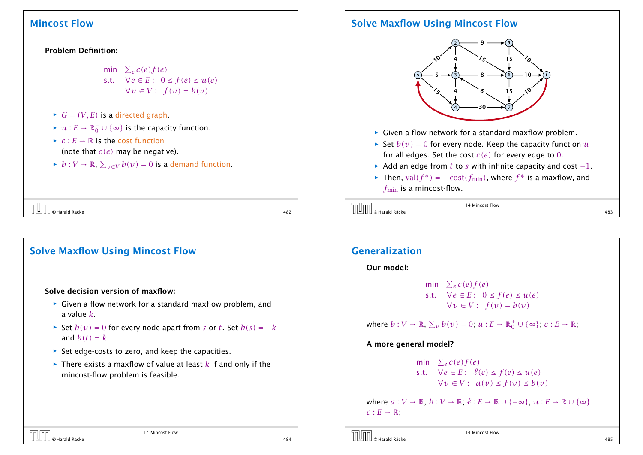#### Problem Definition:

min  $\sum_e c(e) f(e)$ s.t.  $\forall e \in E: 0 \le f(e) \le u(e)$  $∀v ∈ V$ :  $f(v) = b(v)$ 

- $\blacktriangleright$  *G* = *(V, E)* is a directed graph.
- $\blacktriangleright$  *u* : *E* →  $\mathbb{R}_0^+$   $\cup$  { $\infty$ } is the capacity function.
- $f{f}$  *c* :  $E \rightarrow \mathbb{R}$  is the cost function (note that *c(e)* may be negative).
- *► b* :  $V \to \mathbb{R}$ ,  $\sum_{v \in V} b(v) = 0$  is a demand function.

| $\left[\begin{matrix} 1 & 0 \\ 0 & 0 \end{matrix}\right]$ $\odot$ Harald Räcke |     |
|--------------------------------------------------------------------------------|-----|
|                                                                                | 482 |

## Solve Maxflow Using Mincost Flow

#### Solve decision version of maxflow:

- **►** Given a flow network for a standard maxflow problem, and a value *k*.
- *►* Set  $b(v) = 0$  for every node apart from *s* or *t*. Set  $b(s) = -k$ and  $b(t) = k$ .
- **Follo** Set edge-costs to zero, and keep the capacities.
- $\blacktriangleright$  There exists a maxflow of value at least  $k$  if and only if the mincost-flow problem is feasible.

14 Mincost Flow

## Solve Maxflow Using Mincost Flow



- ▶ Given a flow network for a standard maxflow problem.
- $\blacktriangleright$  Set  $b(v) = 0$  for every node. Keep the capacity function  $u$ for all edges. Set the cost *c(e)* for every edge to 0.
- *<sup>ñ</sup>* Add an edge from *t* to *s* with infinite capacity and cost −1.
- ► Then,  $val(f^*) = -cost(f_{min})$ , where  $f^*$  is a maxflow, and *f*<sub>min</sub> is a mincost-flow.

```
\overline{U} \overline{U} \overline{U} \overline{U} \overline{U} \overline{U} \overline{U} \overline{U} \overline{U} \overline{U} \overline{U} \overline{U} \overline{U} \overline{U} \overline{U} \overline{U} \overline{U} \overline{U} \overline{U} \overline{U} \overline{U} \overline{U} \overline{U} \overline{U} \overline{
```
14 Mincost Flow

## Generalization

#### Our model:

min  $\sum_e c(e) f(e)$ s.t.  $\forall e \in E: 0 \le f(e) \le u(e)$  $∀v ∈ V$ :  $f(v) = b(v)$ 

where  $b: V \to \mathbb{R}, \Sigma_v b(v) = 0; u: E \to \mathbb{R}_0^+ \cup {\infty}, c: E \to \mathbb{R},$ 

#### A more general model?

min  $\sum_e c(e) f(e)$ s.t.  $\forall e \in E: \ell(e) \leq f(e) \leq u(e)$ *∀v* ∈ *V* :  $a(v)$  ≤  $f(v)$  ≤  $b(v)$ 

where  $a: V \to \mathbb{R}, b: V \to \mathbb{R}, \ell: E \to \mathbb{R} \cup \{-\infty\}, u: E \to \mathbb{R} \cup \{\infty\}$  $c: E \rightarrow \mathbb{R}$ ;

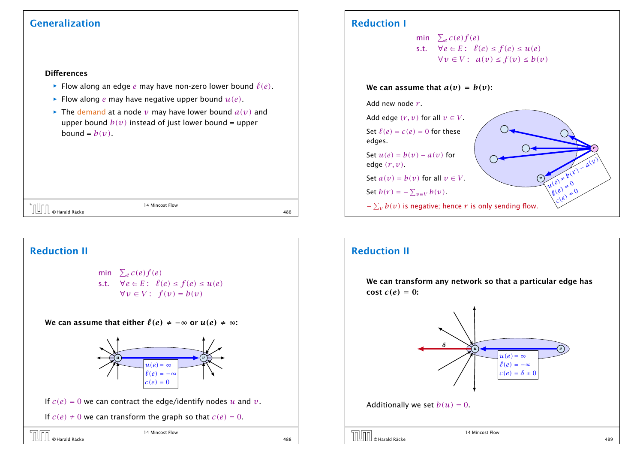## Generalization

#### **Differences**

- $\blacktriangleright$  Flow along an edge *e* may have non-zero lower bound  $\ell(e)$ .
- **Flow along** *e* may have negative upper bound  $u(e)$ .
- $\blacktriangleright$  The demand at a node *v* may have lower bound  $a(v)$  and upper bound  $b(v)$  instead of just lower bound = upper bound =  $b(v)$ .

| $ -$                                                    | Mincost Flow<br>. |             |
|---------------------------------------------------------|-------------------|-------------|
| Räcke<br>$\curvearrowright$<br>an Harald Rock<br>-<br>▃ |                   | 10C<br>t OU |

# Reduction II

min  $\sum_e c(e) f(e)$ s.t.  $\forall e \in E: \ell(e) \leq f(e) \leq u(e)$  $∀v ∈ V$ :  $f(v) = b(v)$ 

We can assume that either  $\ell(e) \neq -\infty$  or  $u(e) \neq \infty$ :



If  $c(e) = 0$  we can contract the edge/identify nodes *u* and *v*.

If  $c(e) \neq 0$  we can transform the graph so that  $c(e) = 0$ .

## Reduction I

min  $\sum_e c(e) f(e)$ s.t.  $\forall e \in E: \ell(e) \leq f(e) \leq u(e)$ *∀v* ∈ *V* :  $a(v)$  ≤  $f(v)$  ≤  $b(v)$ 

We can assume that  $a(v) = b(v)$ :

Add new node *r* .



## Reduction II

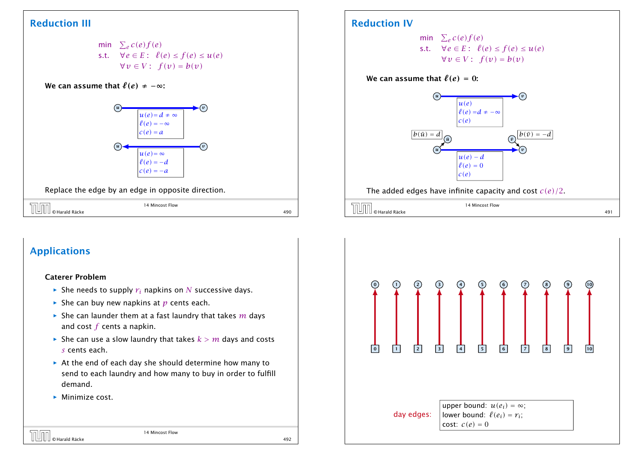## Reduction III



#### We can assume that  $\ell(e) \neq -\infty$ :



#### Replace the edge by an edge in opposite direction.

| nUm<br>∫∐ © Harald Räcke | 14 Mincost Flow | 490 |
|--------------------------|-----------------|-----|

## Applications

 $\blacksquare$ 

#### Caterer Problem

- $\blacktriangleright$  She needs to supply  $r_i$  napkins on *N* successive days.
- $\blacktriangleright$  She can buy new napkins at *p* cents each.
- $\blacktriangleright$  She can launder them at a fast laundry that takes  $m$  days and cost *f* cents a napkin.
- $\blacktriangleright$  She can use a slow laundry that takes  $k > m$  days and costs *s* cents each.
- **▶ At the end of each day she should determine how many to** send to each laundry and how many to buy in order to fulfill demand.
- **Minimize cost.**

## Reduction IV

min  $\sum_e c(e) f(e)$ s.t.  $\forall e \in E: \ell(e) \leq f(e) \leq u(e)$  $∀v ∈ V$ :  $f(v) = b(v)$ 

#### We can assume that  $\ell(e) = 0$ :



|                          | 14 Mincost Flow |              |
|--------------------------|-----------------|--------------|
| © Harald Räcke<br>⊔<br>– |                 | 1 O 1<br>49, |

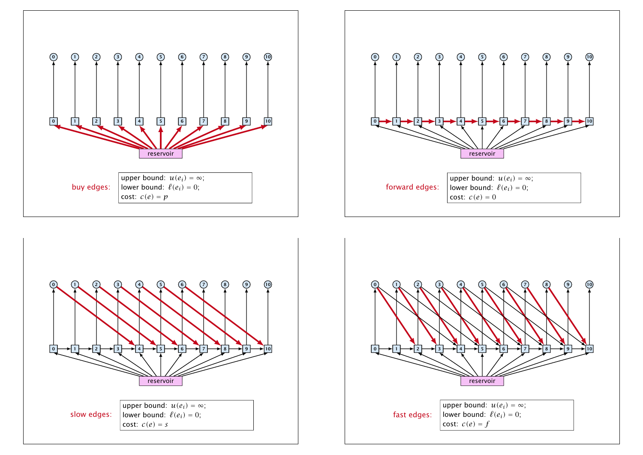





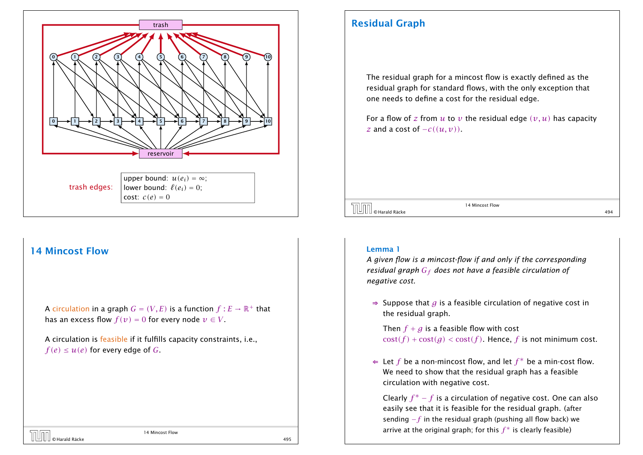

A circulation in a graph  $G = (V, E)$  is a function  $f : E \to \mathbb{R}^+$  that has an excess flow  $f(v) = 0$  for every node  $v \in V$ .

A circulation is feasible if it fulfills capacity constraints, i.e.,  $f(e) \leq u(e)$  for every edge of *G*.

## Residual Graph

The residual graph for a mincost flow is exactly defined as the residual graph for standard flows, with the only exception that one needs to define a cost for the residual edge.

For a flow of z from  $u$  to  $v$  the residual edge  $(v, u)$  has capacity *z* and a cost of  $-c((u, v))$ .

 $\overline{O}$   $\overline{O}$   $\overline{O}$   $\overline{O}$   $\overline{O}$   $\overline{O}$   $\overline{O}$   $\overline{O}$   $\overline{O}$   $\overline{O}$   $\overline{O}$   $\overline{O}$   $\overline{O}$   $\overline{O}$   $\overline{O}$   $\overline{O}$   $\overline{O}$   $\overline{O}$   $\overline{O}$   $\overline{O}$   $\overline{O}$   $\overline{O}$   $\overline{O}$   $\overline{O}$   $\overline{$ 

14 Mincost Flow

#### Lemma 1

*A given flow is a mincost-flow if and only if the corresponding residual graph G<sup>f</sup> does not have a feasible circulation of negative cost.*

⇒ Suppose that *g* is a feasible circulation of negative cost in the residual graph.

Then  $f + g$  is a feasible flow with cost  $cost(f) + cost(a) < cost(f)$ . Hence, *f* is not minimum cost.

⇐ Let *f* be a non-mincost flow, and let *f* ∗ be a min-cost flow. We need to show that the residual graph has a feasible circulation with negative cost.

Clearly *f* <sup>∗</sup> − *f* is a circulation of negative cost. One can also easily see that it is feasible for the residual graph. (after sending −*f* in the residual graph (pushing all flow back) we arrive at the original graph; for this  $f^*$  is clearly feasible)

14 Mincost Flow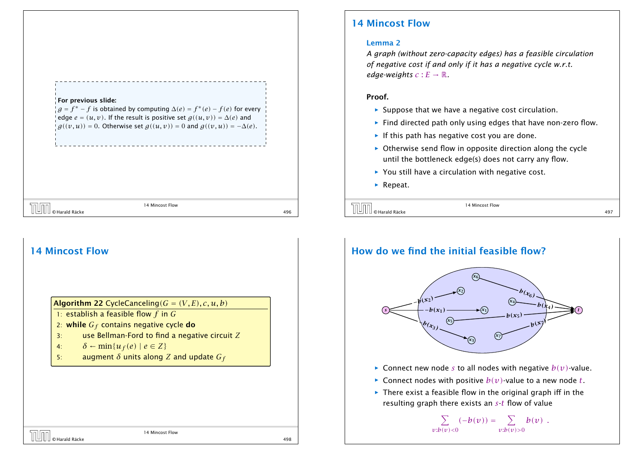

# 14 Mincost Flow Algorithm 22 CycleCanceling $(G = (V, E), c, u, b)$ 1: establish a feasible flow *f* in *G* 2: while *G<sup>f</sup>* contains negative cycle do 3: use Bellman-Ford to find a negative circuit *Z* 4:  $\delta \leftarrow \min\{u_f(e) \mid e \in Z\}$ 5: augment *δ* units along *Z* and update *G<sup>f</sup>* 14 Mincost Flow  $\boxed{\cup}$   $\boxed{\cup}$   $\boxed{\cup}$   $\boxed{\cup}$   $\boxed{\cup}$   $\boxed{\cup}$   $\boxed{\cup}$   $\boxed{\cup}$   $\boxed{\cup}$   $\boxed{\cup}$   $\boxed{\cup}$   $\boxed{\cup}$   $\boxed{\cup}$   $\boxed{\cup}$   $\boxed{\cup}$   $\boxed{\cup}$   $\boxed{\cup}$   $\boxed{\cup}$   $\boxed{\cup}$   $\boxed{\cup}$   $\boxed{\cup}$   $\boxed{\cup}$   $\boxed{\cup}$   $\boxed{\cup}$   $\boxed{\cup}$   $\boxed{\cup}$   $\boxed{\cup}$   $\boxed{\cup$

## 14 Mincost Flow

#### Lemma 2

*A graph (without zero-capacity edges) has a feasible circulation of negative cost if and only if it has a negative cycle w.r.t. edge-weights*  $c : E \to \mathbb{R}$ .

#### Proof.

- ▶ Suppose that we have a negative cost circulation.
- **Find directed path only using edges that have non-zero flow.**
- **Follo** If this path has negative cost you are done.
- **Otherwise send flow in opposite direction along the cycle** until the bottleneck edge(s) does not carry any flow.
- ▶ You still have a circulation with negative cost.
- ▶ Repeat.



14 Mincost Flow

# How do we find the initial feasible flow?



- $\triangleright$  Connect new node *s* to all nodes with negative  $b(v)$ -value.
- $\blacktriangleright$  Connect nodes with positive  $b(v)$ -value to a new node *t*.
- **Figure 1** There exist a feasible flow in the original graph iff in the resulting graph there exists an *s*-*t* flow of value

 $\sum$   $(-b(v)) =$ *v*:*b(v)<*0  $\sum_{\alpha} b(v)$ . *v*:*b(v)>*0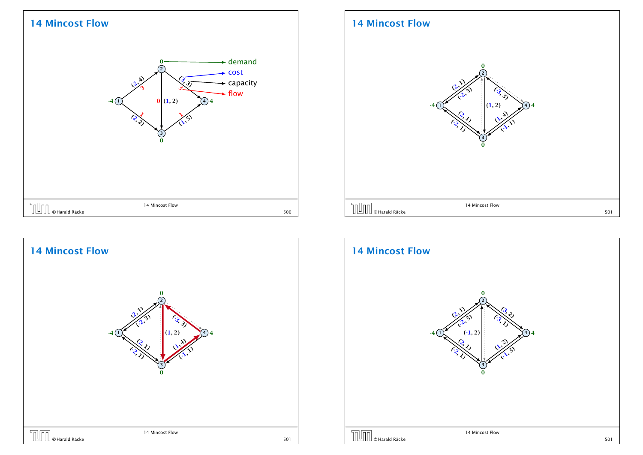



## 14 Mincost Flow



#### 14 Mincost Flow 1 2 3 4 *(*2*,* <sup>1</sup>*) (*-2*,* <sup>3</sup>*) (*-3*,* <sup>1</sup>*) (*3*,* <sup>2</sup>*) (*-1*,* 2*) (*1*,* 2*) (*2*,* <sup>1</sup> *( )* -2*,* <sup>1</sup>*) (*1*,* <sup>2</sup>*) (*-1*,* <sup>3</sup>*)* 0  $-(1)$   $(-1, 2)$   $(4)$ 0 14 Mincost Flow THE GRATIAN STREET STREET ASSESSED MANAGER FROM THE STREET STREET STREET STREET STREET STREET STREET STREET STREET STREET STREET STREET STREET STREET STREET STREET STREET STREET STREET STREET STREET STREET STREET STREET ST